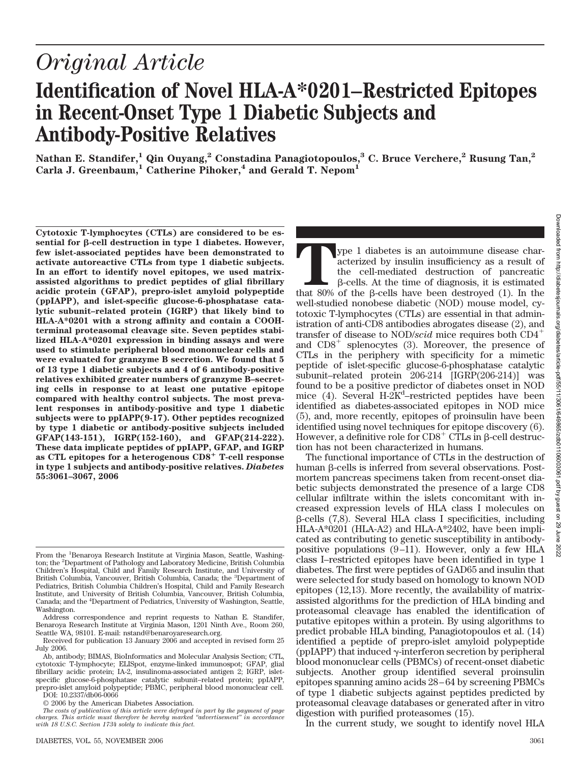# *Original Article* **Identification of Novel HLA-A\*0201–Restricted Epitopes in Recent-Onset Type 1 Diabetic Subjects and**

**Antibody-Positive Relatives**

**Nathan E. Standifer,1 Qin Ouyang,2 Constadina Panagiotopoulos,3 C. Bruce Verchere,2 Rusung Tan,2** Carla J. Greenbaum,<sup>1</sup> Catherine Pihoker,<sup>4</sup> and Gerald T. Nepom<sup>1</sup>

**Cytotoxic T-lymphocytes (CTLs) are considered to be essential for -cell destruction in type 1 diabetes. However, few islet-associated peptides have been demonstrated to activate autoreactive CTLs from type 1 diabetic subjects. In an effort to identify novel epitopes, we used matrixassisted algorithms to predict peptides of glial fibrillary acidic protein (GFAP), prepro-islet amyloid polypeptide (ppIAPP), and islet-specific glucose-6-phosphatase catalytic subunit–related protein (IGRP) that likely bind to HLA-A\*0201 with a strong affinity and contain a COOHterminal proteasomal cleavage site. Seven peptides stabilized HLA-A\*0201 expression in binding assays and were used to stimulate peripheral blood mononuclear cells and were evaluated for granzyme B secretion. We found that 5 of 13 type 1 diabetic subjects and 4 of 6 antibody-positive relatives exhibited greater numbers of granzyme B–secreting cells in response to at least one putative epitope compared with healthy control subjects. The most prevalent responses in antibody-positive and type 1 diabetic subjects were to ppIAPP(9-17). Other peptides recognized by type 1 diabetic or antibody-positive subjects included GFAP(143-151), IGRP(152-160), and GFAP(214-222). These data implicate peptides of ppIAPP, GFAP, and IGRP as CTL epitopes for a heterogenous CD8**- **T-cell response in type 1 subjects and antibody-positive relatives.** *Diabetes* **55:3061–3067, 2006**

DOI: 10.2337/db06-0066

© 2006 by the American Diabetes Association.

In the current study, we sought to identify novel HLA

**The 1** diabetes is an autoimmune disease characterized by insulin insufficiency as a result of the cell-mediated destruction of pancreatic β-cells. At the time of diagnosis, it is estimated that 80% of the β-cells have b acterized by insulin insufficiency as a result of the cell-mediated destruction of pancreatic  $\beta$ -cells. At the time of diagnosis, it is estimated well-studied nonobese diabetic (NOD) mouse model, cytotoxic T-lymphocytes (CTLs) are essential in that administration of anti-CD8 antibodies abrogates disease (2), and transfer of disease to NOD/*scid* mice requires both CD4 and  $CD8<sup>+</sup>$  splenocytes (3). Moreover, the presence of CTLs in the periphery with specificity for a mimetic peptide of islet-specific glucose-6-phosphatase catalytic subunit–related protein 206-214 [IGRP(206-214)] was found to be a positive predictor of diabetes onset in NOD mice (4). Several H-2K<sup>d</sup>-restricted peptides have been identified as diabetes-associated epitopes in NOD mice (5), and, more recently, epitopes of proinsulin have been identified using novel techniques for epitope discovery (6). However, a definitive role for  $CDS^+$  CTLs in  $\beta$ -cell destruction has not been characterized in humans.

The functional importance of CTLs in the destruction of human  $\beta$ -cells is inferred from several observations. Postmortem pancreas specimens taken from recent-onset diabetic subjects demonstrated the presence of a large CD8 cellular infiltrate within the islets concomitant with increased expression levels of HLA class I molecules on  $\beta$ -cells (7,8). Several HLA class I specificities, including HLA-A\*0201 (HLA-A2) and HLA-A\*2402, have been implicated as contributing to genetic susceptibility in antibodypositive populations  $(9-11)$ . However, only a few HLA class I–restricted epitopes have been identified in type 1 diabetes. The first were peptides of GAD65 and insulin that were selected for study based on homology to known NOD epitopes (12,13). More recently, the availability of matrixassisted algorithms for the prediction of HLA binding and proteasomal cleavage has enabled the identification of putative epitopes within a protein. By using algorithms to predict probable HLA binding, Panagiotopoulos et al. (14) identified a peptide of prepro-islet amyloid polypeptide (ppIAPP) that induced  $\gamma$ -interferon secretion by peripheral blood mononuclear cells (PBMCs) of recent-onset diabetic subjects. Another group identified several proinsulin epitopes spanning amino acids 28 – 64 by screening PBMCs of type 1 diabetic subjects against peptides predicted by proteasomal cleavage databases or generated after in vitro digestion with purified proteasomes (15).

From the <sup>1</sup>Benaroya Research Institute at Virginia Mason, Seattle, Washington; the <sup>2</sup> Department of Pathology and Laboratory Medicine, British Columbia Children's Hospital, Child and Family Research Institute, and University of British Columbia, Vancouver, British Columbia, Canada; the <sup>3</sup>Department of Pediatrics, British Columbia Children's Hospital, Child and Family Research Institute, and University of British Columbia, Vancouver, British Columbia, Canada; and the <sup>4</sup>Department of Pediatrics, University of Washington, Seattle, Washington.

Address correspondence and reprint requests to Nathan E. Standifer, Benaroya Research Institute at Virginia Mason, 1201 Ninth Ave., Room 260, Seattle WA, 98101. E-mail: nstand@benaroyaresearch.org.

Received for publication 13 January 2006 and accepted in revised form 25 July 2006.

Ab, antibody; BIMAS, BioInformatics and Molecular Analysis Section; CTL, cytotoxic T-lymphocyte; ELISpot, enzyme-linked immunospot; GFAP, glial fibrillary acidic protein; IA-2, insulinoma-associated antigen 2; IGRP, isletspecific glucose-6-phosphatase catalytic subunit–related protein; ppIAPP, prepro-islet amyloid polypeptide; PBMC, peripheral blood mononuclear cell.

*The costs of publication of this article were defrayed in part by the payment of page charges. This article must therefore be hereby marked "advertisement" in accordance with 18 U.S.C. Section 1734 solely to indicate this fact.*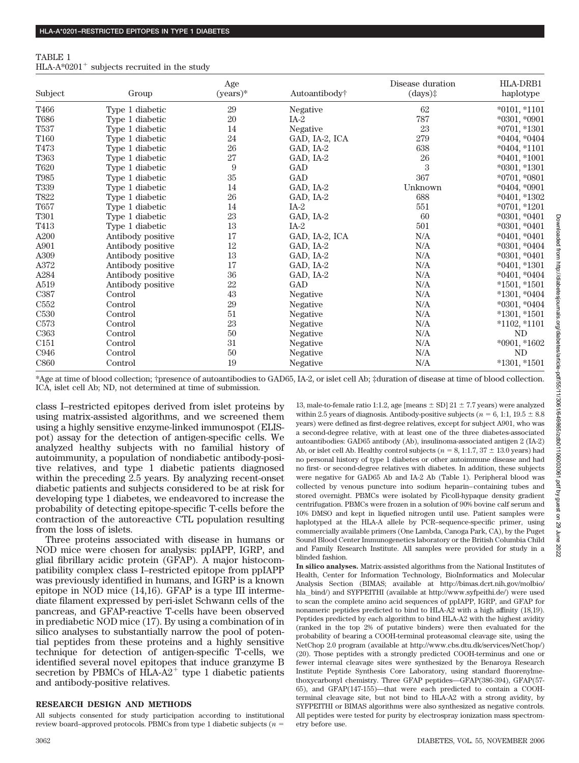| TABLE 1                                                    |  |  |  |
|------------------------------------------------------------|--|--|--|
| HLA-A* $0201$ <sup>+</sup> subjects recruited in the study |  |  |  |

|                  |                   | Age        |                | Disease duration | HLA-DRB1          |
|------------------|-------------------|------------|----------------|------------------|-------------------|
| Subject          | Group             | $(years)*$ | Autoantibody†  | (days)           | haplotype         |
| T466             | Type 1 diabetic   | 29         | Negative       | 62               | $*0101,*1101$     |
| <b>T686</b>      | Type 1 diabetic   | 20         | $IA-2$         | 787              | $*0301, *0901$    |
| T537             | Type 1 diabetic   | 14         | Negative       | 23               | $*0701, *1301$    |
| T <sub>160</sub> | Type 1 diabetic   | 24         | GAD, IA-2, ICA | 279              | $*0404, *0404$    |
| T473             | Type 1 diabetic   | 26         | GAD, IA-2      | 638              | $*0404,*1101$     |
| T363             | Type 1 diabetic   | 27         | GAD, IA-2      | 26               | $*0401$ , $*1001$ |
| T620             | Type 1 diabetic   | 9          | GAD            | 3                | $*0301, *1301$    |
| T985             | Type 1 diabetic   | 35         | <b>GAD</b>     | 367              | $*0701, *0801$    |
| <b>T339</b>      | Type 1 diabetic   | 14         | GAD, IA-2      | Unknown          | $*0404, *0901$    |
| T822             | Type 1 diabetic   | 26         | GAD, IA-2      | 688              | $*0401, *1302$    |
| T657             | Type 1 diabetic   | 14         | $IA-2$         | 551              | $*0701, *1201$    |
| <b>T301</b>      | Type 1 diabetic   | 23         | GAD, IA-2      | 60               | $*0301, *0401$    |
| T413             | Type 1 diabetic   | 13         | $IA-2$         | 501              | $*0301, *0401$    |
| A200             | Antibody positive | 17         | GAD, IA-2, ICA | N/A              | $*0401, *0401$    |
| A901             | Antibody positive | 12         | GAD, IA-2      | N/A              | $*0301, *0404$    |
| A309             | Antibody positive | 13         | GAD, IA-2      | N/A              | $*0301, *0401$    |
| A372             | Antibody positive | 17         | GAD, IA-2      | N/A              | $*0401, *1301$    |
| A284             | Antibody positive | 36         | GAD, IA-2      | N/A              | $*0401, *0404$    |
| A519             | Antibody positive | 22         | GAD            | N/A              | $*1501, *1501$    |
| C <sub>387</sub> | Control           | 43         | Negative       | N/A              | $*1301,*0404$     |
| C <sub>552</sub> | Control           | 29         | Negative       | N/A              | $*0301, *0404$    |
| C <sub>530</sub> | Control           | 51         | Negative       | N/A              | $*1301,*1501$     |
| C <sub>573</sub> | Control           | 23         | Negative       | N/A              | $*1102,*1101$     |
| C <sub>363</sub> | Control           | 50         | Negative       | N/A              | ND                |
| C <sub>151</sub> | Control           | 31         | Negative       | N/A              | $*0901, *1602$    |
| C946             | Control           | 50         | Negative       | N/A              | <b>ND</b>         |
| C860             | Control           | 19         | Negative       | N/A              | $*1301,*1501$     |

\*Age at time of blood collection; †presence of autoantibodies to GAD65, IA-2, or islet cell Ab; ‡duration of disease at time of blood collection. ICA, islet cell Ab; ND, not determined at time of submission.

class I–restricted epitopes derived from islet proteins by using matrix-assisted algorithms, and we screened them using a highly sensitive enzyme-linked immunospot (ELISpot) assay for the detection of antigen-specific cells. We analyzed healthy subjects with no familial history of autoimmunity, a population of nondiabetic antibody-positive relatives, and type 1 diabetic patients diagnosed within the preceding 2.5 years. By analyzing recent-onset diabetic patients and subjects considered to be at risk for developing type 1 diabetes, we endeavored to increase the probability of detecting epitope-specific T-cells before the contraction of the autoreactive CTL population resulting from the loss of islets.

Three proteins associated with disease in humans or NOD mice were chosen for analysis: ppIAPP, IGRP, and glial fibrillary acidic protein (GFAP). A major histocompatibility complex class I–restricted epitope from ppIAPP was previously identified in humans, and IGRP is a known epitope in NOD mice (14,16). GFAP is a type III intermediate filament expressed by peri-islet Schwann cells of the pancreas, and GFAP-reactive T-cells have been observed in prediabetic NOD mice (17). By using a combination of in silico analyses to substantially narrow the pool of potential peptides from these proteins and a highly sensitive technique for detection of antigen-specific T-cells, we identified several novel epitopes that induce granzyme B secretion by PBMCs of  $HLA-A2$ <sup>+</sup> type 1 diabetic patients and antibody-positive relatives.

## **RESEARCH DESIGN AND METHODS**

All subjects consented for study participation according to institutional review board–approved protocols. PBMCs from type 1 diabetic subjects (*n*

13, male-to-female ratio 1:1.2, age [means  $\pm$  SD] 21  $\pm$  7.7 years) were analyzed within 2.5 years of diagnosis. Antibody-positive subjects ( $n = 6, 1:1, 19.5 \pm 8.8$ ) years) were defined as first-degree relatives, except for subject A901, who was a second-degree relative, with at least one of the three diabetes-associated autoantibodies: GAD65 antibody (Ab), insulinoma-associated antigen 2 (IA-2) Ab, or islet cell Ab. Healthy control subjects ( $n = 8, 1:1.7, 37 \pm 13.0$  years) had no personal history of type 1 diabetes or other autoimmune disease and had no first- or second-degree relatives with diabetes. In addition, these subjects were negative for GAD65 Ab and IA-2 Ab (Table 1). Peripheral blood was collected by venous puncture into sodium heparin– containing tubes and stored overnight. PBMCs were isolated by Ficoll-hypaque density gradient centrifugation. PBMCs were frozen in a solution of 90% bovine calf serum and 10% DMSO and kept in liquefied nitrogen until use. Patient samples were haplotyped at the HLA-A allele by PCR–sequence-specific primer, using commercially available primers (One Lambda, Canoga Park, CA), by the Puget Sound Blood Center Immunogenetics laboratory or the British Columbia Child and Family Research Institute. All samples were provided for study in a blinded fashion.

**In silico analyses.** Matrix-assisted algorithms from the National Institutes of Health, Center for Information Technology, BioInformatics and Molecular Analysis Section (BIMAS; available at http://bimas.dcrt.nih.gov/molbio/ hla—bind/) and SYFPEITHI (available at http://www.syfpeithi.de/) were used to scan the complete amino acid sequences of ppIAPP, IGRP, and GFAP for nonameric peptides predicted to bind to HLA-A2 with a high affinity (18,19). Peptides predicted by each algorithm to bind HLA-A2 with the highest avidity (ranked in the top 2% of putative binders) were then evaluated for the probability of bearing a COOH-terminal proteasomal cleavage site, using the NetChop 2.0 program (available at http://www.cbs.dtu.dk/services/NetChop/) (20). Those peptides with a strongly predicted COOH-terminus and one or fewer internal cleavage sites were synthesized by the Benaroya Research Institute Peptide Synthesis Core Laboratory, using standard fluorenylmethoxycarbonyl chemistry. Three GFAP peptides—GFAP(386-394), GFAP(57- 65), and GFAP(147-155)—that were each predicted to contain a COOHterminal cleavage site, but not bind to HLA-A2 with a strong avidity, by SYFPEITHI or BIMAS algorithms were also synthesized as negative controls. All peptides were tested for purity by electrospray ionization mass spectrometry before use.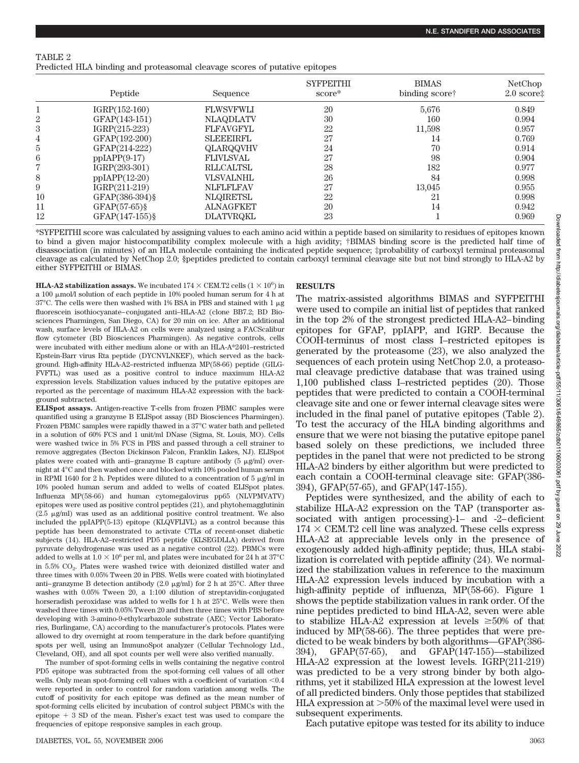| TABLE 2                                                                    |  |
|----------------------------------------------------------------------------|--|
| Predicted HLA binding and proteasomal cleavage scores of putative epitopes |  |

|                | Peptide         | Sequence         | <b>SYFPEITHI</b><br>score* | <b>BIMAS</b><br>binding scoret | NetChop<br>$2.0$ score $\ddagger$ |
|----------------|-----------------|------------------|----------------------------|--------------------------------|-----------------------------------|
|                | $IGRP(152-160)$ | <b>FLWSVFWLI</b> | 20                         | 5,676                          | 0.849                             |
| 2              | GFAP(143-151)   | <b>NLAQDLATV</b> | 30                         | 160                            | 0.994                             |
| 3              | $IGRP(215-223)$ | <b>FLFAVGFYL</b> | 22                         | 11,598                         | 0.957                             |
| $\overline{4}$ | GFAP(192-200)   | <b>SLEEEIRFL</b> | 27                         | 14                             | 0.769                             |
| 5              | GFAP(214-222)   | QLARQQVHV        | 24                         | 70                             | 0.914                             |
| 6              | $ppIAPP(9-17)$  | <b>FLIVLSVAL</b> | 27                         | 98                             | 0.904                             |
| 7              | $IGRP(293-301)$ | <b>RLLCALTSL</b> | 28                         | 182                            | 0.977                             |
| 8              | $ppIAPP(12-20)$ | <b>VLSVALNHL</b> | 26                         | 84                             | 0.998                             |
| 9              | $IGRP(211-219)$ | <b>NLFLFLFAV</b> | 27                         | 13,045                         | 0.955                             |
| 10             | GFAP(386-394)§  | <b>NLQIRETSL</b> | 22                         | 21                             | 0.998                             |
| 11             | $GFAP(57-65)$ § | <b>ALNAGFKET</b> | 20                         | 14                             | 0.942                             |
| 12             | GFAP(147-155)§  | DLATVRQKL        | 23                         |                                | 0.969                             |

\*SYFPEITHI score was calculated by assigning values to each amino acid within a peptide based on similarity to residues of epitopes known to bind a given major histocompatibility complex molecule with a high avidity; †BIMAS binding score is the predicted half time of disassociation (in minutes) of an HLA molecule containing the indicated peptide sequence; ‡probability of carboxyl terminal proteasomal cleavage as calculated by NetChop 2.0; §peptides predicted to contain carboxyl terminal cleavage site but not bind strongly to HLA-A2 by either SYFPEITHI or BIMAS.

**HLA-A2 stabilization assays.** We incubated  $174 \times \text{CEM.T2}$  cells  $(1 \times 10^6)$  in a 100 µmol/l solution of each peptide in 10% pooled human serum for 4 h at 37°C. The cells were then washed with 1% BSA in PBS and stained with 1  $\mu$ g fluorescein isothiocyanate– conjugated anti–HLA-A2 (clone BB7.2; BD Biosciences Pharmingen, San Diego, CA) for 20 min on ice. After an additional wash, surface levels of HLA-A2 on cells were analyzed using a FACScalibur flow cytometer (BD Biosciences Pharmingen). As negative controls, cells were incubated with either medium alone or with an HLA-A\*2401–restricted Epstein-Barr virus Rta peptide (DYCNVLNKEF), which served as the background. High-affinity HLA-A2–restricted influenza MP(58-66) peptide (GILG-FVFTL) was used as a positive control to induce maximum HLA-A2 expression levels. Stabilization values induced by the putative epitopes are reported as the percentage of maximum HLA-A2 expression with the background subtracted.

**ELISpot assays.** Antigen-reactive T-cells from frozen PBMC samples were quantified using a granzyme B ELISpot assay (BD Biosciences Pharmingen). Frozen PBMC samples were rapidly thawed in a 37°C water bath and pelleted in a solution of 60% FCS and 1 unit/ml DNase (Sigma, St. Louis, MO). Cells were washed twice in 5% FCS in PBS and passed through a cell strainer to remove aggregates (Becton Dickinson Falcon, Franklin Lakes, NJ). ELISpot plates were coated with anti–granzyme B capture antibody ( $5 \mu g/ml$ ) overnight at 4°C and then washed once and blocked with 10% pooled human serum in RPMI 1640 for 2 h. Peptides were diluted to a concentration of 5  $\mu$ g/ml in 10% pooled human serum and added to wells of coated ELISpot plates. Influenza MP(58-66) and human cytomegalovirus pp65 (NLVPMVATV) epitopes were used as positive control peptides (21), and phytohemagglutinin  $(2.5 \text{ }\mu\text{g/ml})$  was used as an additional positive control treatment. We also included the ppIAPP(5-13) epitope (KLQVFLIVL) as a control because this peptide has been demonstrated to activate CTLs of recent-onset diabetic subjects (14). HLA-A2–restricted PD5 peptide (KLSEGDLLA) derived from pyruvate dehydrogenase was used as a negative control (22). PBMCs were added to wells at  $1.0 \times 10^6$  per ml, and plates were incubated for 24 h at 37°C in  $5.5\%$  CO<sub>2</sub>. Plates were washed twice with deionized distilled water and three times with 0.05% Tween 20 in PBS. Wells were coated with biotinylated anti–granzyme B detection antibody  $(2.0 \mu g/ml)$  for 2 h at 25°C. After three washes with 0.05% Tween 20, a 1:100 dilution of streptavidin-conjugated horseradish peroxidase was added to wells for 1 h at 25°C. Wells were then washed three times with 0.05% Tween 20 and then three times with PBS before developing with 3-amino-9-ethylcarbazole substrate (AEC; Vector Laboratories, Burlingame, CA) according to the manufacturer's protocols. Plates were allowed to dry overnight at room temperature in the dark before quantifying spots per well, using an ImmunoSpot analyzer (Cellular Technology Ltd., Cleveland, OH), and all spot counts per well were also verified manually.

The number of spot-forming cells in wells containing the negative control PD5 epitope was subtracted from the spot-forming cell values of all other wells. Only mean spot-forming cell values with a coefficient of variation  $< 0.4$ were reported in order to control for random variation among wells. The cutoff of positivity for each epitope was defined as the mean number of spot-forming cells elicited by incubation of control subject PBMCs with the  $epitope + 3 SD of the mean. Fisher's exact test was used to compare the$ frequencies of epitope responsive samples in each group.

## **RESULTS**

The matrix-assisted algorithms BIMAS and SYFPEITHI were used to compile an initial list of peptides that ranked in the top 2% of the strongest predicted HLA-A2– binding epitopes for GFAP, ppIAPP, and IGRP. Because the COOH-terminus of most class I–restricted epitopes is generated by the proteasome (23), we also analyzed the sequences of each protein using NetChop 2.0, a proteasomal cleavage predictive database that was trained using 1,100 published class I–restricted peptides (20). Those peptides that were predicted to contain a COOH-terminal cleavage site and one or fewer internal cleavage sites were included in the final panel of putative epitopes (Table 2). To test the accuracy of the HLA binding algorithms and ensure that we were not biasing the putative epitope panel based solely on these predictions, we included three peptides in the panel that were not predicted to be strong HLA-A2 binders by either algorithm but were predicted to each contain a COOH-terminal cleavage site: GFAP(386- 394), GFAP(57-65), and GFAP(147-155).

Peptides were synthesized, and the ability of each to stabilize HLA-A2 expression on the TAP (transporter associated with antigen processing)-1– and -2– deficient  $174 \times \text{CEM.T2}$  cell line was analyzed. These cells express HLA-A2 at appreciable levels only in the presence of exogenously added high-affinity peptide; thus, HLA stabilization is correlated with peptide affinity (24). We normalized the stabilization values in reference to the maximum HLA-A2 expression levels induced by incubation with a high-affinity peptide of influenza, MP(58-66). Figure 1 shows the peptide stabilization values in rank order. Of the nine peptides predicted to bind HLA-A2, seven were able to stabilize HLA-A2 expression at levels  $\geq 50\%$  of that induced by MP(58-66). The three peptides that were predicted to be weak binders by both algorithms—GFAP(386- 394), GFAP(57-65), and GFAP(147-155)—stabilized HLA-A2 expression at the lowest levels. IGRP(211-219) was predicted to be a very strong binder by both algorithms, yet it stabilized HLA expression at the lowest level of all predicted binders. Only those peptides that stabilized HLA expression at  $>50\%$  of the maximal level were used in subsequent experiments.

Each putative epitope was tested for its ability to induce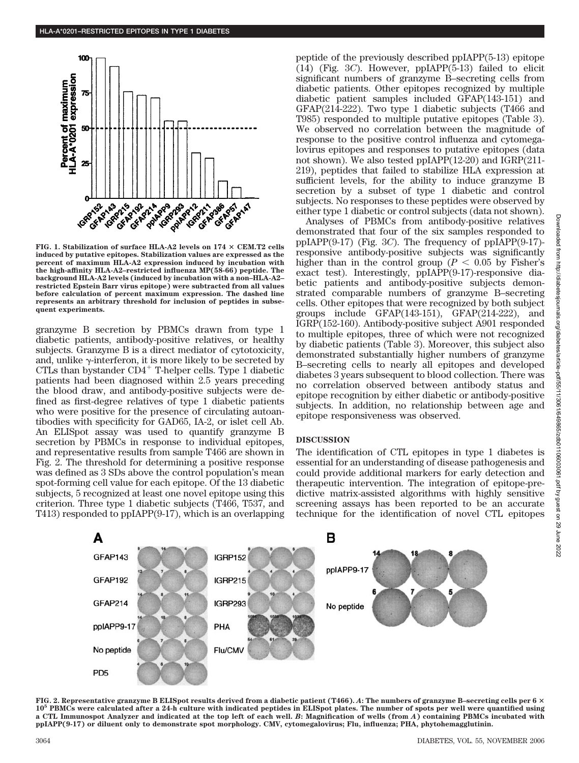

**FIG. 1. Stabilization of surface HLA-A2 levels on 174 CEM.T2 cells induced by putative epitopes. Stabilization values are expressed as the percent of maximum HLA-A2 expression induced by incubation with the high-affinity HLA-A2–restricted influenza MP(58-66) peptide. The background HLA-A2 levels (induced by incubation with a non–HLA-A2– restricted Epstein Barr virus epitope) were subtracted from all values before calculation of percent maximum expression. The dashed line represents an arbitrary threshold for inclusion of peptides in subsequent experiments.**

granzyme B secretion by PBMCs drawn from type 1 diabetic patients, antibody-positive relatives, or healthy subjects. Granzyme B is a direct mediator of cytotoxicity, and, unlike  $\gamma$ -interferon, it is more likely to be secreted by CTLs than bystander  $CD4^+$  T-helper cells. Type 1 diabetic patients had been diagnosed within 2.5 years preceding the blood draw, and antibody-positive subjects were defined as first-degree relatives of type 1 diabetic patients who were positive for the presence of circulating autoantibodies with specificity for GAD65, IA-2, or islet cell Ab. An ELISpot assay was used to quantify granzyme B secretion by PBMCs in response to individual epitopes, and representative results from sample T466 are shown in Fig. 2. The threshold for determining a positive response was defined as 3 SDs above the control population's mean spot-forming cell value for each epitope. Of the 13 diabetic subjects, 5 recognized at least one novel epitope using this criterion. Three type 1 diabetic subjects (T466, T537, and T413) responded to ppIAPP(9-17), which is an overlapping peptide of the previously described ppIAPP(5-13) epitope (14) (Fig. 3*C*). However, ppIAPP(5-13) failed to elicit significant numbers of granzyme B–secreting cells from diabetic patients. Other epitopes recognized by multiple diabetic patient samples included GFAP(143-151) and GFAP(214-222). Two type 1 diabetic subjects (T466 and T985) responded to multiple putative epitopes (Table 3). We observed no correlation between the magnitude of response to the positive control influenza and cytomegalovirus epitopes and responses to putative epitopes (data not shown). We also tested ppIAPP(12-20) and IGRP(211- 219), peptides that failed to stabilize HLA expression at sufficient levels, for the ability to induce granzyme B secretion by a subset of type 1 diabetic and control subjects. No responses to these peptides were observed by either type 1 diabetic or control subjects (data not shown).

Analyses of PBMCs from antibody-positive relatives demonstrated that four of the six samples responded to ppIAPP(9-17) (Fig. 3*C*). The frequency of ppIAPP(9-17) responsive antibody-positive subjects was significantly higher than in the control group ( $P < 0.05$  by Fisher's exact test). Interestingly, ppIAPP(9-17)-responsive diabetic patients and antibody-positive subjects demonstrated comparable numbers of granzyme B–secreting cells. Other epitopes that were recognized by both subject groups include GFAP(143-151), GFAP(214-222), and IGRP(152-160). Antibody-positive subject A901 responded to multiple epitopes, three of which were not recognized by diabetic patients (Table 3). Moreover, this subject also demonstrated substantially higher numbers of granzyme B–secreting cells to nearly all epitopes and developed diabetes 3 years subsequent to blood collection. There was no correlation observed between antibody status and epitope recognition by either diabetic or antibody-positive subjects. In addition, no relationship between age and epitope responsiveness was observed.

## **DISCUSSION**

The identification of CTL epitopes in type 1 diabetes is essential for an understanding of disease pathogenesis and could provide additional markers for early detection and therapeutic intervention. The integration of epitope-predictive matrix-assisted algorithms with highly sensitive screening assays has been reported to be an accurate technique for the identification of novel CTL epitopes



**FIG. 2. Representative granzyme B ELISpot results derived from a diabetic patient (T466).** *A***: The numbers of granzyme B–secreting cells per 6 10<sup>5</sup> PBMCs were calculated after a 24-h culture with indicated peptides in ELISpot plates. The number of spots per well were quantified using a CTL Immunospot Analyzer and indicated at the top left of each well.** *B***: Magnification of wells (from** *A***) containing PBMCs incubated with ppIAPP(9-17) or diluent only to demonstrate spot morphology. CMV, cytomegalovirus; Flu, influenza; PHA, phytohemagglutinin.**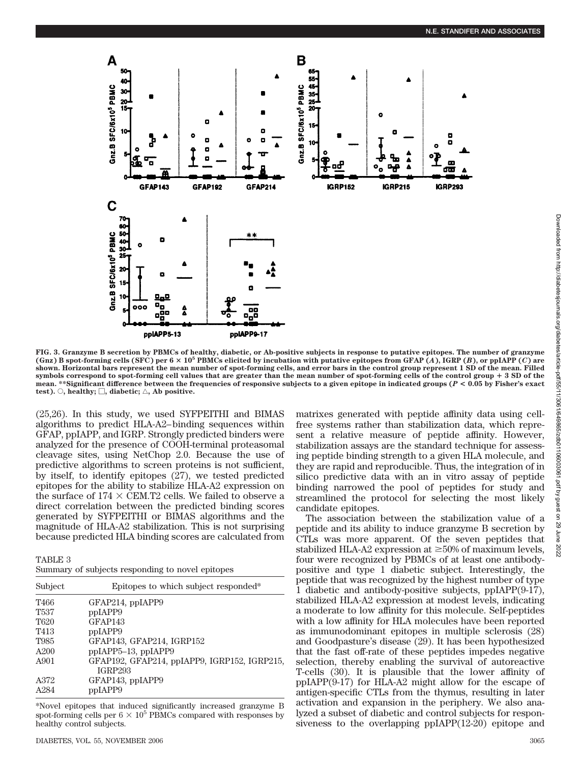

**FIG. 3. Granzyme B secretion by PBMCs of healthy, diabetic, or Ab-positive subjects in response to putative epitopes. The number of granzyme** (Gnz) B spot-forming cells (SFC) per  $6 \times 10^5$  PBMCs elicited by incubation with putative epitopes from GFAP  $(A)$ , IGRP  $(B)$ , or ppIAPP  $(C)$  are **shown. Horizontal bars represent the mean number of spot-forming cells, and error bars in the control group represent 1 SD of the mean. Filled symbols correspond to spot-forming cell values that are greater than the mean number of spot-forming cells of the control group** - **3 SD of the mean. \*\*Significant difference between the frequencies of responsive subjects to a given epitope in indicated groups (***P* **< 0.05 by Fisher's exact**  $\text{test}$ ).  $\bigcirc$ , healthy;  $\bigcirc$ , diabetic;  $\bigcirc$ , Ab positive.

(25,26). In this study, we used SYFPEITHI and BIMAS algorithms to predict HLA-A2– binding sequences within GFAP, ppIAPP, and IGRP. Strongly predicted binders were analyzed for the presence of COOH-terminal proteasomal cleavage sites, using NetChop 2.0. Because the use of predictive algorithms to screen proteins is not sufficient, by itself, to identify epitopes (27), we tested predicted epitopes for the ability to stabilize HLA-A2 expression on the surface of  $174 \times \text{CEM.T2}$  cells. We failed to observe a direct correlation between the predicted binding scores generated by SYFPEITHI or BIMAS algorithms and the magnitude of HLA-A2 stabilization. This is not surprising because predicted HLA binding scores are calculated from

TABLE 3

|  |  |  | Summary of subjects responding to novel epitopes |  |  |  |
|--|--|--|--------------------------------------------------|--|--|--|
|--|--|--|--------------------------------------------------|--|--|--|

| Subject          | Epitopes to which subject responded*         |
|------------------|----------------------------------------------|
| T466             | GFAP214, ppIAPP9                             |
| T <sub>537</sub> | ppIAPP9                                      |
| T <sub>620</sub> | GFAP <sub>143</sub>                          |
| T413             | ppIAPP9                                      |
| T985             | GFAP143, GFAP214, IGRP152                    |
| A200             | ppIAPP5-13, ppIAPP9                          |
| A901             | GFAP192, GFAP214, ppIAPP9, IGRP152, IGRP215, |
|                  | <b>IGRP293</b>                               |
| A372             | GFAP143, ppIAPP9                             |
| A284             | ppIAPP9                                      |

\*Novel epitopes that induced significantly increased granzyme B spot-forming cells per  $6 \times 10^5$  PBMCs compared with responses by healthy control subjects.

matrixes generated with peptide affinity data using cellfree systems rather than stabilization data, which represent a relative measure of peptide affinity. However, stabilization assays are the standard technique for assessing peptide binding strength to a given HLA molecule, and they are rapid and reproducible. Thus, the integration of in silico predictive data with an in vitro assay of peptide binding narrowed the pool of peptides for study and streamlined the protocol for selecting the most likely candidate epitopes.

The association between the stabilization value of a peptide and its ability to induce granzyme B secretion by CTLs was more apparent. Of the seven peptides that stabilized HLA-A2 expression at  $\geq$ 50% of maximum levels, four were recognized by PBMCs of at least one antibodypositive and type 1 diabetic subject. Interestingly, the peptide that was recognized by the highest number of type 1 diabetic and antibody-positive subjects, ppIAPP(9-17), stabilized HLA-A2 expression at modest levels, indicating a moderate to low affinity for this molecule. Self-peptides with a low affinity for HLA molecules have been reported as immunodominant epitopes in multiple sclerosis (28) and Goodpasture's disease (29). It has been hypothesized that the fast off-rate of these peptides impedes negative selection, thereby enabling the survival of autoreactive T-cells (30). It is plausible that the lower affinity of ppIAPP(9-17) for HLA-A2 might allow for the escape of antigen-specific CTLs from the thymus, resulting in later activation and expansion in the periphery. We also analyzed a subset of diabetic and control subjects for responsiveness to the overlapping ppIAPP(12-20) epitope and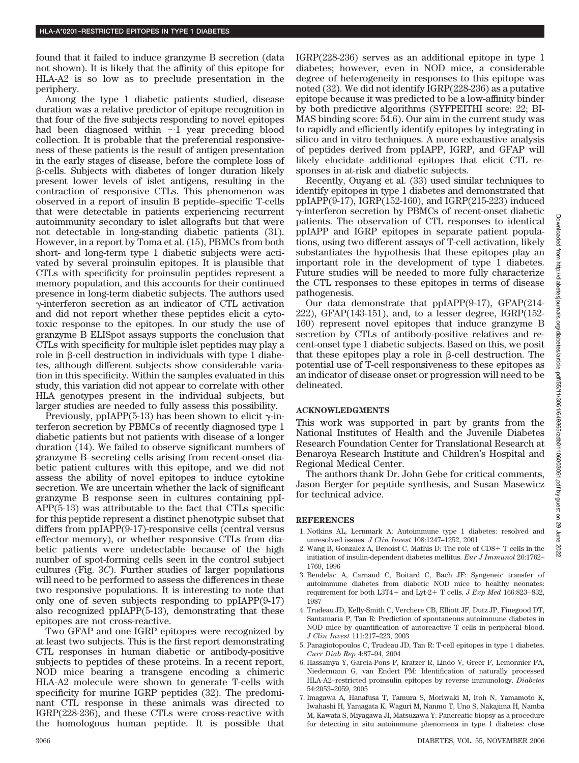found that it failed to induce granzyme B secretion (data not shown). It is likely that the affinity of this epitope for HLA-A2 is so low as to preclude presentation in the periphery.

Among the type 1 diabetic patients studied, disease duration was a relative predictor of epitope recognition in that four of the five subjects responding to novel epitopes had been diagnosed within  $\sim$ 1 year preceding blood collection. It is probable that the preferential responsiveness of these patients is the result of antigen presentation in the early stages of disease, before the complete loss of -cells. Subjects with diabetes of longer duration likely present lower levels of islet antigens, resulting in the contraction of responsive CTLs. This phenomenon was observed in a report of insulin B peptide–specific T-cells that were detectable in patients experiencing recurrent autoimmunity secondary to islet allografts but that were not detectable in long-standing diabetic patients (31). However, in a report by Toma et al. (15), PBMCs from both short- and long-term type 1 diabetic subjects were activated by several proinsulin epitopes. It is plausible that CTLs with specificity for proinsulin peptides represent a memory population, and this accounts for their continued presence in long-term diabetic subjects. The authors used  $\gamma$ -interferon secretion as an indicator of CTL activation and did not report whether these peptides elicit a cytotoxic response to the epitopes. In our study the use of granzyme B ELISpot assays supports the conclusion that CTLs with specificity for multiple islet peptides may play a role in  $\beta$ -cell destruction in individuals with type 1 diabetes, although different subjects show considerable variation in this specificity. Within the samples evaluated in this study, this variation did not appear to correlate with other HLA genotypes present in the individual subjects, but larger studies are needed to fully assess this possibility.

Previously, ppIAPP(5-13) has been shown to elicit  $\gamma$ -interferon secretion by PBMCs of recently diagnosed type 1 diabetic patients but not patients with disease of a longer duration (14). We failed to observe significant numbers of granzyme B–secreting cells arising from recent-onset diabetic patient cultures with this epitope, and we did not assess the ability of novel epitopes to induce cytokine secretion. We are uncertain whether the lack of significant granzyme B response seen in cultures containing ppI-APP(5-13) was attributable to the fact that CTLs specific for this peptide represent a distinct phenotypic subset that differs from ppIAPP(9-17)-responsive cells (central versus effector memory), or whether responsive CTLs from diabetic patients were undetectable because of the high number of spot-forming cells seen in the control subject cultures (Fig. 3*C*). Further studies of larger populations will need to be performed to assess the differences in these two responsive populations. It is interesting to note that only one of seven subjects responding to ppIAPP(9-17) also recognized ppIAPP(5-13), demonstrating that these epitopes are not cross-reactive.

Two GFAP and one IGRP epitopes were recognized by at least two subjects. This is the first report demonstrating CTL responses in human diabetic or antibody-positive subjects to peptides of these proteins. In a recent report, NOD mice bearing a transgene encoding a chimeric HLA-A2 molecule were shown to generate T-cells with specificity for murine IGRP peptides (32). The predominant CTL response in these animals was directed to IGRP(228-236), and these CTLs were cross-reactive with the homologous human peptide. It is possible that IGRP(228-236) serves as an additional epitope in type 1 diabetes; however, even in NOD mice, a considerable degree of heterogeneity in responses to this epitope was noted (32). We did not identify IGRP(228-236) as a putative epitope because it was predicted to be a low-affinity binder by both predictive algorithms (SYFPEITHI score: 22; BI-MAS binding score: 54.6). Our aim in the current study was to rapidly and efficiently identify epitopes by integrating in silico and in vitro techniques. A more exhaustive analysis of peptides derived from ppIAPP, IGRP, and GFAP will likely elucidate additional epitopes that elicit CTL responses in at-risk and diabetic subjects.

Recently, Ouyang et al. (33) used similar techniques to identify epitopes in type 1 diabetes and demonstrated that ppIAPP(9-17), IGRP(152-160), and IGRP(215-223) induced -interferon secretion by PBMCs of recent-onset diabetic patients. The observation of CTL responses to identical ppIAPP and IGRP epitopes in separate patient populations, using two different assays of T-cell activation, likely substantiates the hypothesis that these epitopes play an important role in the development of type 1 diabetes. Future studies will be needed to more fully characterize the CTL responses to these epitopes in terms of disease pathogenesis.

Our data demonstrate that ppIAPP(9-17), GFAP(214- 222), GFAP(143-151), and, to a lesser degree, IGRP(152- 160) represent novel epitopes that induce granzyme B secretion by CTLs of antibody-positive relatives and recent-onset type 1 diabetic subjects. Based on this, we posit that these epitopes play a role in  $\beta$ -cell destruction. The potential use of T-cell responsiveness to these epitopes as an indicator of disease onset or progression will need to be delineated.

## **ACKNOWLEDGMENTS**

This work was supported in part by grants from the National Institutes of Health and the Juvenile Diabetes Research Foundation Center for Translational Research at Benaroya Research Institute and Children's Hospital and Regional Medical Center.

The authors thank Dr. John Gebe for critical comments, Jason Berger for peptide synthesis, and Susan Masewicz for technical advice.

## **REFERENCES**

- 1. Notkins AL, Lernmark A: Autoimmune type 1 diabetes: resolved and unresolved issues. *J Clin Invest* 108:1247–1252, 2001
- 2. Wang B, Gonzalez A, Benoist C, Mathis D: The role of CD8- T cells in the initiation of insulin-dependent diabetes mellitus. *Eur J Immunol* 26:1762– 1769, 1996
- 3. Bendelac A, Carnaud C, Boitard C, Bach JF: Syngeneic transfer of autoimmune diabetes from diabetic NOD mice to healthy neonates: requirement for both L3T4+ and Lyt-2+ T cells. *J Exp Med* 166:823-832, 1987
- 4. Trudeau JD, Kelly-Smith C, Verchere CB, Elliott JF, Dutz JP, Finegood DT, Santamaria P, Tan R: Prediction of spontaneous autoimmune diabetes in NOD mice by quantification of autoreactive T cells in peripheral blood. *J Clin Invest* 111:217–223, 2003
- 5. Panagiotopoulos C, Trudeau JD, Tan R: T-cell epitopes in type 1 diabetes. *Curr Diab Rep* 4:87–94, 2004
- 6. Hassainya Y, Garcia-Pons F, Kratzer R, Lindo V, Greer F, Lemonnier FA, Niedermann G, van Endert PM: Identification of naturally processed HLA-A2–restricted proinsulin epitopes by reverse immunology. *Diabetes* 54:2053–2059, 2005
- 7. Imagawa A, Hanafusa T, Tamura S, Moriwaki M, Itoh N, Yamamoto K, Iwahashi H, Yamagata K, Waguri M, Nanmo T, Uno S, Nakajima H, Namba M, Kawata S, Miyagawa JI, Matsuzawa Y: Pancreatic biopsy as a procedure for detecting in situ autoimmune phenomena in type 1 diabetes: close